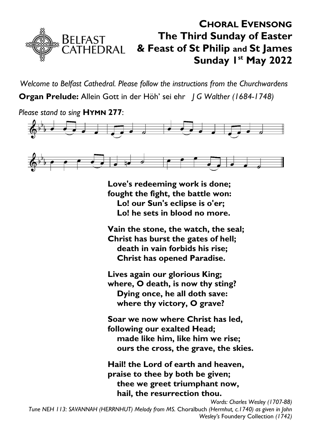

*Welcome to Belfast Cathedral. Please follow the instructions from the Churchwardens* **Organ Prelude:** Allein Gott in der Höh' sei ehr *J G Walther (1684-1748)*



**Love's redeeming work is done; fought the fight, the battle won: Lo! our Sun's eclipse is o'er; Lo! he sets in blood no more.**

**Vain the stone, the watch, the seal; Christ has burst the gates of hell; death in vain forbids his rise; Christ has opened Paradise.**

**Lives again our glorious King; where, O death, is now thy sting? Dying once, he all doth save: where thy victory, O grave?**

**Soar we now where Christ has led, following our exalted Head; made like him, like him we rise; ours the cross, the grave, the skies.**

**Hail! the Lord of earth and heaven, praise to thee by both be given; thee we greet triumphant now, hail, the resurrection thou.**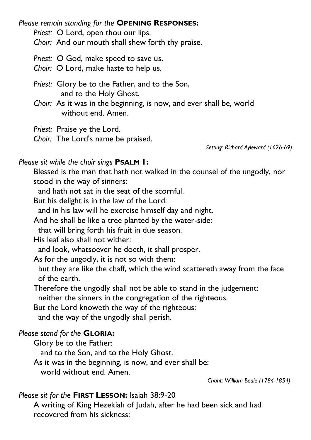*Please remain standing for the* **OPENING RESPONSES:**

*Priest:* O Lord, open thou our lips.

*Choir:* And our mouth shall shew forth thy praise.

#### *Priest:* O God, make speed to save us.

*Choir:* O Lord, make haste to help us.

*Priest:* Glory be to the Father, and to the Son, and to the Holy Ghost.

*Choir:* As it was in the beginning, is now, and ever shall be, world without end. Amen.

*Priest:* Praise ye the Lord.

*Choir:* The Lord's name be praised.

*Setting: Richard Ayleward (1626-69)*

### *Please sit while the choir sings* **PSALM 1:**

Blessed is the man that hath not walked in the counsel of the ungodly, nor stood in the way of sinners:

and hath not sat in the seat of the scornful.

But his delight is in the law of the Lord:

and in his law will he exercise himself day and night.

And he shall be like a tree planted by the water-side:

that will bring forth his fruit in due season.

His leaf also shall not wither:

and look, whatsoever he doeth, it shall prosper.

As for the ungodly, it is not so with them:

but they are like the chaff, which the wind scattereth away from the face of the earth.

Therefore the ungodly shall not be able to stand in the judgement:

neither the sinners in the congregation of the righteous.

But the Lord knoweth the way of the righteous:

and the way of the ungodly shall perish.

### *Please stand for the* **GLORIA:**

Glory be to the Father:

and to the Son, and to the Holy Ghost.

As it was in the beginning, is now, and ever shall be:

world without end. Amen.

*Chant: William Beale (1784-1854)*

### *Please sit for the* **FIRST LESSON:** Isaiah 38:9-20

A writing of King Hezekiah of Judah, after he had been sick and had recovered from his sickness: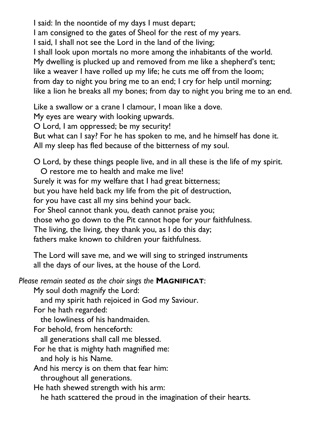I said: In the noontide of my days I must depart; I am consigned to the gates of Sheol for the rest of my years. I said, I shall not see the Lord in the land of the living; I shall look upon mortals no more among the inhabitants of the world. My dwelling is plucked up and removed from me like a shepherd's tent; like a weaver I have rolled up my life; he cuts me off from the loom; from day to night you bring me to an end; I cry for help until morning; like a lion he breaks all my bones; from day to night you bring me to an end.

Like a swallow or a crane I clamour, I moan like a dove.

My eyes are weary with looking upwards.

O Lord, I am oppressed; be my security!

But what can I say? For he has spoken to me, and he himself has done it. All my sleep has fled because of the bitterness of my soul.

O Lord, by these things people live, and in all these is the life of my spirit.

 O restore me to health and make me live! Surely it was for my welfare that I had great bitterness; but you have held back my life from the pit of destruction, for you have cast all my sins behind your back. For Sheol cannot thank you, death cannot praise you; those who go down to the Pit cannot hope for your faithfulness. The living, the living, they thank you, as I do this day; fathers make known to children your faithfulness.

The Lord will save me, and we will sing to stringed instruments all the days of our lives, at the house of the Lord.

*Please remain seated as the choir sings the* **MAGNIFICAT**:

My soul doth magnify the Lord:

and my spirit hath rejoiced in God my Saviour.

For he hath regarded:

the lowliness of his handmaiden.

For behold, from henceforth:

all generations shall call me blessed.

For he that is mighty hath magnified me: and holy is his Name.

And his mercy is on them that fear him: throughout all generations.

He hath shewed strength with his arm:

he hath scattered the proud in the imagination of their hearts.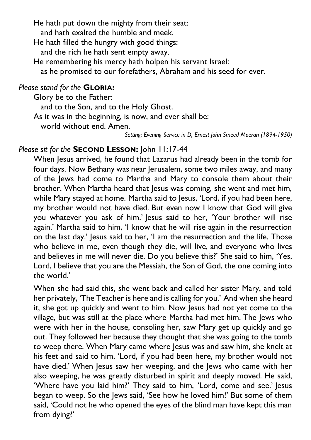He hath put down the mighty from their seat:

and hath exalted the humble and meek.

He hath filled the hungry with good things:

and the rich he hath sent empty away.

He remembering his mercy hath holpen his servant Israel:

as he promised to our forefathers, Abraham and his seed for ever.

# *Please stand for the* **GLORIA:**

Glory be to the Father:

and to the Son, and to the Holy Ghost.

As it was in the beginning, is now, and ever shall be:

world without end. Amen.

*Setting: Evening Service in D, Ernest John Smeed Moeran (1894-1950)*

# *Please sit for the* **SECOND LESSON:** John 11:17-44

When Jesus arrived, he found that Lazarus had already been in the tomb for four days. Now Bethany was near Jerusalem, some two miles away, and many of the Jews had come to Martha and Mary to console them about their brother. When Martha heard that Jesus was coming, she went and met him, while Mary stayed at home. Martha said to Jesus, 'Lord, if you had been here, my brother would not have died. But even now I know that God will give you whatever you ask of him.' Jesus said to her, 'Your brother will rise again.' Martha said to him, 'I know that he will rise again in the resurrection on the last day.' Jesus said to her, 'I am the resurrection and the life. Those who believe in me, even though they die, will live, and everyone who lives and believes in me will never die. Do you believe this?' She said to him, 'Yes, Lord, I believe that you are the Messiah, the Son of God, the one coming into the world.'

When she had said this, she went back and called her sister Mary, and told her privately, 'The Teacher is here and is calling for you.' And when she heard it, she got up quickly and went to him. Now Jesus had not yet come to the village, but was still at the place where Martha had met him. The Jews who were with her in the house, consoling her, saw Mary get up quickly and go out. They followed her because they thought that she was going to the tomb to weep there. When Mary came where Jesus was and saw him, she knelt at his feet and said to him, 'Lord, if you had been here, my brother would not have died.' When Jesus saw her weeping, and the Jews who came with her also weeping, he was greatly disturbed in spirit and deeply moved. He said, 'Where have you laid him?' They said to him, 'Lord, come and see.' Jesus began to weep. So the Jews said, 'See how he loved him!' But some of them said, 'Could not he who opened the eyes of the blind man have kept this man from dying?'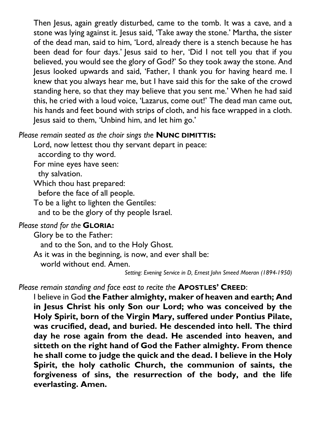Then Jesus, again greatly disturbed, came to the tomb. It was a cave, and a stone was lying against it. Jesus said, 'Take away the stone.' Martha, the sister of the dead man, said to him, 'Lord, already there is a stench because he has been dead for four days.' Jesus said to her, 'Did I not tell you that if you believed, you would see the glory of God?' So they took away the stone. And Jesus looked upwards and said, 'Father, I thank you for having heard me. I knew that you always hear me, but I have said this for the sake of the crowd standing here, so that they may believe that you sent me.' When he had said this, he cried with a loud voice, 'Lazarus, come out!' The dead man came out, his hands and feet bound with strips of cloth, and his face wrapped in a cloth. Jesus said to them, 'Unbind him, and let him go.'

# *Please remain seated as the choir sings the* **NUNC DIMITTIS:**

Lord, now lettest thou thy servant depart in peace:

according to thy word.

For mine eyes have seen:

thy salvation.

Which thou hast prepared:

before the face of all people.

To be a light to lighten the Gentiles:

and to be the glory of thy people Israel.

# *Please stand for the* **GLORIA:**

Glory be to the Father:

and to the Son, and to the Holy Ghost.

As it was in the beginning, is now, and ever shall be:

world without end. Amen.

*Setting: Evening Service in D, Ernest John Smeed Moeran (1894-1950)*

# *Please remain standing and face east to recite the* **APOSTLES' CREED**:

I believe in God **the Father almighty, maker of heaven and earth; And in Jesus Christ his only Son our Lord; who was conceived by the Holy Spirit, born of the Virgin Mary, suffered under Pontius Pilate, was crucified, dead, and buried. He descended into hell. The third day he rose again from the dead. He ascended into heaven, and sitteth on the right hand of God the Father almighty. From thence he shall come to judge the quick and the dead. I believe in the Holy Spirit, the holy catholic Church, the communion of saints, the forgiveness of sins, the resurrection of the body, and the life everlasting. Amen.**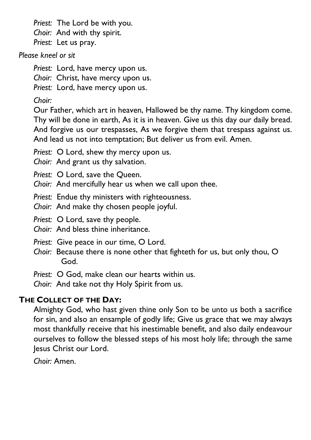*Priest:* The Lord be with you. *Choir:* And with thy spirit. *Priest:* Let us pray.

### *Please kneel or sit*

*Priest:* Lord, have mercy upon us.

*Choir:* Christ, have mercy upon us.

*Priest:* Lord, have mercy upon us.

# *Choir:*

Our Father, which art in heaven, Hallowed be thy name. Thy kingdom come. Thy will be done in earth, As it is in heaven. Give us this day our daily bread. And forgive us our trespasses, As we forgive them that trespass against us. And lead us not into temptation; But deliver us from evil. Amen.

*Priest:* O Lord, shew thy mercy upon us.

*Choir:* And grant us thy salvation.

*Priest:* O Lord, save the Queen.

*Choir:* And mercifully hear us when we call upon thee.

*Priest:* Endue thy ministers with righteousness.

*Choir:* And make thy chosen people joyful.

*Priest:* O Lord, save thy people.

*Choir:* And bless thine inheritance.

*Priest:* Give peace in our time, O Lord.

*Choir:* Because there is none other that fighteth for us, but only thou, O God.

*Priest:* O God, make clean our hearts within us.

*Choir:* And take not thy Holy Spirit from us.

# **THE COLLECT OF THE DAY:**

Almighty God, who hast given thine only Son to be unto us both a sacrifice for sin, and also an ensample of godly life; Give us grace that we may always most thankfully receive that his inestimable benefit, and also daily endeavour ourselves to follow the blessed steps of his most holy life; through the same Jesus Christ our Lord.

*Choir:* Amen.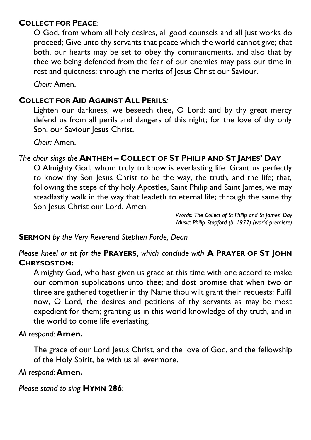# **COLLECT FOR PEACE**:

O God, from whom all holy desires, all good counsels and all just works do proceed; Give unto thy servants that peace which the world cannot give; that both, our hearts may be set to obey thy commandments, and also that by thee we being defended from the fear of our enemies may pass our time in rest and quietness; through the merits of Jesus Christ our Saviour.

*Choir:* Amen.

### **COLLECT FOR AID AGAINST ALL PERILS***:*

Lighten our darkness, we beseech thee, O Lord: and by thy great mercy defend us from all perils and dangers of this night; for the love of thy only Son, our Saviour Jesus Christ.

*Choir:* Amen.

### *The choir sings the* **ANTHEM – COLLECT OF ST PHILIP AND ST JAMES' DAY**

O Almighty God, whom truly to know is everlasting life: Grant us perfectly to know thy Son Jesus Christ to be the way, the truth, and the life; that, following the steps of thy holy Apostles, Saint Philip and Saint James, we may steadfastly walk in the way that leadeth to eternal life; through the same thy Son Jesus Christ our Lord. Amen.

> *Words: The Collect of St Philip and St James' Day Music: Philip Stopford (b. 1977) (world premiere)*

### **SERMON** *by the Very Reverend Stephen Forde, Dean*

*Please kneel or sit for the* **PRAYERS,** *which conclude with* **A PRAYER OF ST JOHN CHRYSOSTOM:**

Almighty God, who hast given us grace at this time with one accord to make our common supplications unto thee; and dost promise that when two or three are gathered together in thy Name thou wilt grant their requests: Fulfil now, O Lord, the desires and petitions of thy servants as may be most expedient for them; granting us in this world knowledge of thy truth, and in the world to come life everlasting.

### *All respond:***Amen.**

The grace of our Lord Jesus Christ, and the love of God, and the fellowship of the Holy Spirit, be with us all evermore.

### *All respond:***Amen.**

*Please stand to sing* **HYMN 286**: